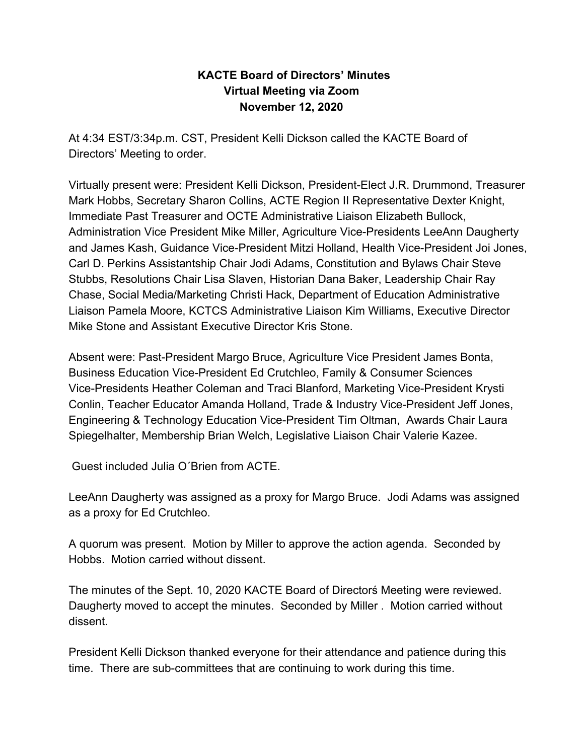# **KACTE Board of Directors' Minutes Virtual Meeting via Zoom November 12, 2020**

At 4:34 EST/3:34p.m. CST, President Kelli Dickson called the KACTE Board of Directors' Meeting to order.

Virtually present were: President Kelli Dickson, President-Elect J.R. Drummond, Treasurer Mark Hobbs, Secretary Sharon Collins, ACTE Region II Representative Dexter Knight, Immediate Past Treasurer and OCTE Administrative Liaison Elizabeth Bullock, Administration Vice President Mike Miller, Agriculture Vice-Presidents LeeAnn Daugherty and James Kash, Guidance Vice-President Mitzi Holland, Health Vice-President Joi Jones, Carl D. Perkins Assistantship Chair Jodi Adams, Constitution and Bylaws Chair Steve Stubbs, Resolutions Chair Lisa Slaven, Historian Dana Baker, Leadership Chair Ray Chase, Social Media/Marketing Christi Hack, Department of Education Administrative Liaison Pamela Moore, KCTCS Administrative Liaison Kim Williams, Executive Director Mike Stone and Assistant Executive Director Kris Stone.

Absent were: Past-President Margo Bruce, Agriculture Vice President James Bonta, Business Education Vice-President Ed Crutchleo, Family & Consumer Sciences Vice-Presidents Heather Coleman and Traci Blanford, Marketing Vice-President Krysti Conlin, Teacher Educator Amanda Holland, Trade & Industry Vice-President Jeff Jones, Engineering & Technology Education Vice-President Tim Oltman, Awards Chair Laura Spiegelhalter, Membership Brian Welch, Legislative Liaison Chair Valerie Kazee.

Guest included Julia O´Brien from ACTE.

LeeAnn Daugherty was assigned as a proxy for Margo Bruce. Jodi Adams was assigned as a proxy for Ed Crutchleo.

A quorum was present. Motion by Miller to approve the action agenda. Seconded by Hobbs. Motion carried without dissent.

The minutes of the Sept. 10, 2020 KACTE Board of Directorś Meeting were reviewed. Daugherty moved to accept the minutes. Seconded by Miller . Motion carried without dissent.

President Kelli Dickson thanked everyone for their attendance and patience during this time. There are sub-committees that are continuing to work during this time.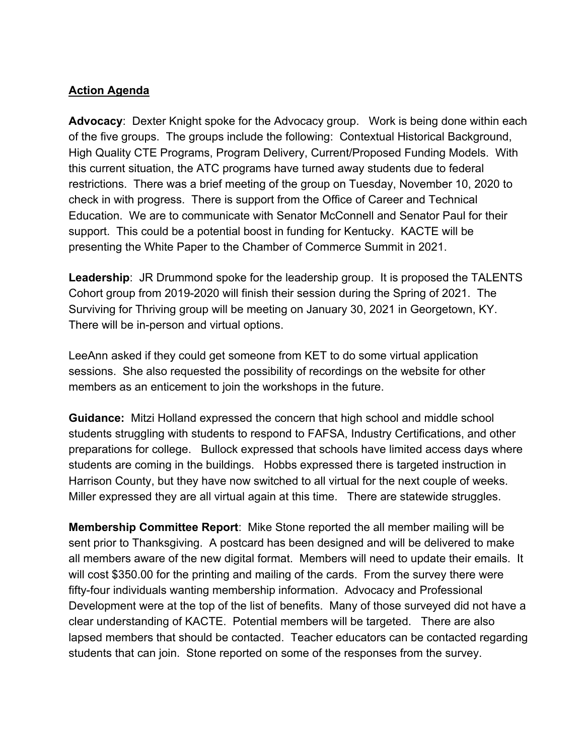## **Action Agenda**

**Advocacy**: Dexter Knight spoke for the Advocacy group. Work is being done within each of the five groups. The groups include the following: Contextual Historical Background, High Quality CTE Programs, Program Delivery, Current/Proposed Funding Models. With this current situation, the ATC programs have turned away students due to federal restrictions. There was a brief meeting of the group on Tuesday, November 10, 2020 to check in with progress. There is support from the Office of Career and Technical Education. We are to communicate with Senator McConnell and Senator Paul for their support. This could be a potential boost in funding for Kentucky. KACTE will be presenting the White Paper to the Chamber of Commerce Summit in 2021.

**Leadership**: JR Drummond spoke for the leadership group. It is proposed the TALENTS Cohort group from 2019-2020 will finish their session during the Spring of 2021. The Surviving for Thriving group will be meeting on January 30, 2021 in Georgetown, KY. There will be in-person and virtual options.

LeeAnn asked if they could get someone from KET to do some virtual application sessions. She also requested the possibility of recordings on the website for other members as an enticement to join the workshops in the future.

**Guidance:** Mitzi Holland expressed the concern that high school and middle school students struggling with students to respond to FAFSA, Industry Certifications, and other preparations for college. Bullock expressed that schools have limited access days where students are coming in the buildings. Hobbs expressed there is targeted instruction in Harrison County, but they have now switched to all virtual for the next couple of weeks. Miller expressed they are all virtual again at this time. There are statewide struggles.

**Membership Committee Report**: Mike Stone reported the all member mailing will be sent prior to Thanksgiving. A postcard has been designed and will be delivered to make all members aware of the new digital format. Members will need to update their emails. It will cost \$350.00 for the printing and mailing of the cards. From the survey there were fifty-four individuals wanting membership information. Advocacy and Professional Development were at the top of the list of benefits. Many of those surveyed did not have a clear understanding of KACTE. Potential members will be targeted. There are also lapsed members that should be contacted. Teacher educators can be contacted regarding students that can join. Stone reported on some of the responses from the survey.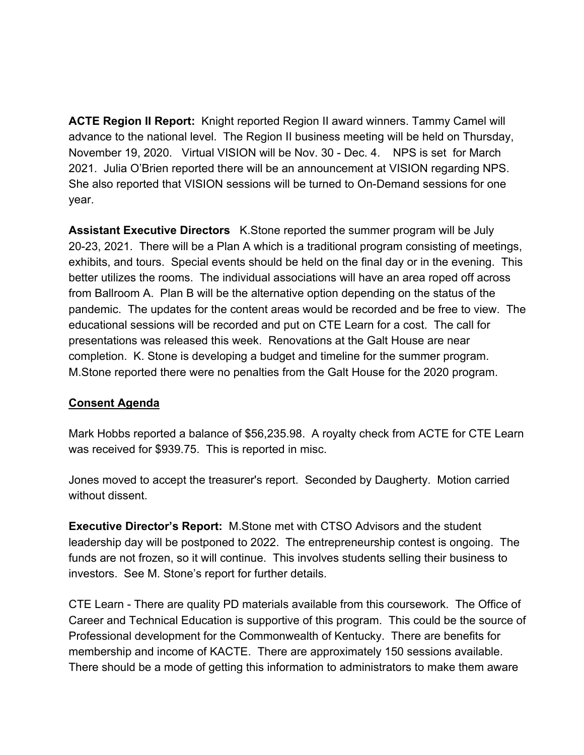**ACTE Region II Report:** Knight reported Region II award winners. Tammy Camel will advance to the national level. The Region II business meeting will be held on Thursday, November 19, 2020. Virtual VISION will be Nov. 30 - Dec. 4. NPS is set for March 2021. Julia O'Brien reported there will be an announcement at VISION regarding NPS. She also reported that VISION sessions will be turned to On-Demand sessions for one year.

**Assistant Executive Directors** K.Stone reported the summer program will be July 20-23, 2021. There will be a Plan A which is a traditional program consisting of meetings, exhibits, and tours. Special events should be held on the final day or in the evening. This better utilizes the rooms. The individual associations will have an area roped off across from Ballroom A. Plan B will be the alternative option depending on the status of the pandemic. The updates for the content areas would be recorded and be free to view. The educational sessions will be recorded and put on CTE Learn for a cost. The call for presentations was released this week. Renovations at the Galt House are near completion. K. Stone is developing a budget and timeline for the summer program. M.Stone reported there were no penalties from the Galt House for the 2020 program.

#### **Consent Agenda**

Mark Hobbs reported a balance of \$56,235.98. A royalty check from ACTE for CTE Learn was received for \$939.75. This is reported in misc.

Jones moved to accept the treasurer's report. Seconded by Daugherty. Motion carried without dissent.

**Executive Director's Report:** M.Stone met with CTSO Advisors and the student leadership day will be postponed to 2022. The entrepreneurship contest is ongoing. The funds are not frozen, so it will continue. This involves students selling their business to investors. See M. Stone's report for further details.

CTE Learn - There are quality PD materials available from this coursework. The Office of Career and Technical Education is supportive of this program. This could be the source of Professional development for the Commonwealth of Kentucky. There are benefits for membership and income of KACTE. There are approximately 150 sessions available. There should be a mode of getting this information to administrators to make them aware